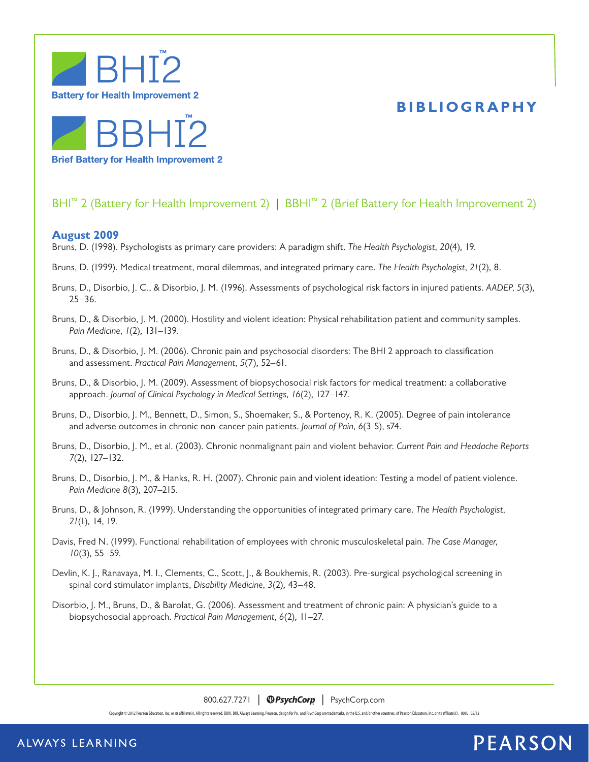

### **BIBLIOGRAPHY**



### BHI<sup>™</sup> 2 (Battery for Health Improvement 2) | BBHI<sup>™</sup> 2 (Brief Battery for Health Improvement 2)

### **August 2009**

Bruns, D. (1998). Psychologists as primary care providers: A paradigm shift. *The Health Psychologist*, *20*(4)*,* 19.

- Bruns, D. (1999). Medical treatment, moral dilemmas, and integrated primary care. *The Health Psychologist*, *21*(2)*,* 8.
- Bruns, D., Disorbio, J. C., & Disorbio, J. M. (1996). Assessments of psychological risk factors in injured patients. *AADEP*, *5*(3)*,*  25–36.
- Bruns, D., & Disorbio, J. M. (2000). Hostility and violent ideation: Physical rehabilitation patient and community samples. *Pain Medicine*, *1*(2)*,* 131–139.
- Bruns, D., & Disorbio, J. M. (2006). Chronic pain and psychosocial disorders: The BHI 2 approach to classification and assessment. *Practical Pain Management*, *5*(7)*,* 52–61.
- Bruns, D., & Disorbio, J. M. (2009). Assessment of biopsychosocial risk factors for medical treatment: a collaborative approach. *Journal of Clinical Psychology in Medical Settings*, *16*(2)*,* 127–147.
- Bruns, D., Disorbio, J. M., Bennett, D., Simon, S., Shoemaker, S., & Portenoy, R. K. (2005). Degree of pain intolerance and adverse outcomes in chronic non-cancer pain patients. *Journal of Pain*, *6*(3-S), s74.
- Bruns, D., Disorbio, J. M., et al. (2003). Chronic nonmalignant pain and violent behavior. *Current Pain and Headache Reports 7*(2)*,* 127–132.
- Bruns, D., Disorbio, J. M., & Hanks, R. H. (2007). Chronic pain and violent ideation: Testing a model of patient violence. *Pain Medicine 8*(3)*,* 207–215.
- Bruns, D., & Johnson, R. (1999). Understanding the opportunities of integrated primary care. *The Health Psychologist*, *21*(1)*,* 14, 19.
- Davis, Fred N. (1999). Functional rehabilitation of employees with chronic musculoskeletal pain. *The Case Manager*, *10*(3)*,* 55–59.
- Devlin, K. J., Ranavaya, M. I., Clements, C., Scott, J., & Boukhemis, R. (2003). Pre-surgical psychological screening in spinal cord stimulator implants, *Disability Medicine*, *3*(2)*,* 43–48.
- Disorbio, J. M., Bruns, D., & Barolat, G. (2006). Assessment and treatment of chronic pain: A physician's guide to a biopsychosocial approach. *Practical Pain Management*, *6*(2)*,* 11–27.

800.627.7271 | **@PsychCorp** | PsychCorp.com

Copyright © 2012 Pearson Education, Inc. or its affiliate(s). All rights reserved. BBHI, BHI, Always Learning, Pearson, design for Psi, and PsychCorp are trademarks, in the U.S. and/or other countries, of Pearson Education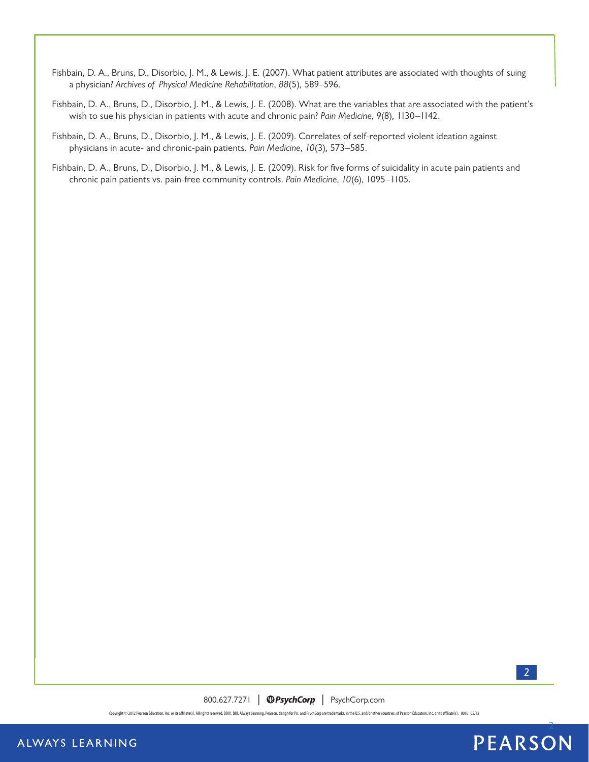- Fishbain, D. A., Bruns, D., Disorbio, J. M., & Lewis, J. E. (2007). What patient attributes are associated with thoughts of suing a physician? *Archives of Physical Medicine Rehabilitation*, *88*(5)*,* 589–596.
- Fishbain, D. A., Bruns, D., Disorbio, J. M., & Lewis, J. E. (2008). What are the variables that are associated with the patient's wish to sue his physician in patients with acute and chronic pain? *Pain Medicine*, *9*(8)*,* 1130–1142.
- Fishbain, D. A., Bruns, D., Disorbio, J. M., & Lewis, J. E. (2009). Correlates of self-reported violent ideation against physicians in acute- and chronic-pain patients. *Pain Medicine*, *10*(3)*,* 573–585.
- Fishbain, D. A., Bruns, D., Disorbio, J. M., & Lewis, J. E. (2009). Risk for five forms of suicidality in acute pain patients and chronic pain patients vs. pain-free community controls. *Pain Medicine*, *10*(6), 1095–1105.



800.627.7271 | **@PsychCorp** | PsychCorp.com

Copyright © 2012 Pearson Education, Inc. or its affiliate(s). All rights reserved. BBHI, BHI, Always Learning, Pearson, design for Psi, and PsychCorp are trademarks, in the U.S. and/or other countries, of Pearson Education

### ALWAYS LEARNING

# **PEARSON**

2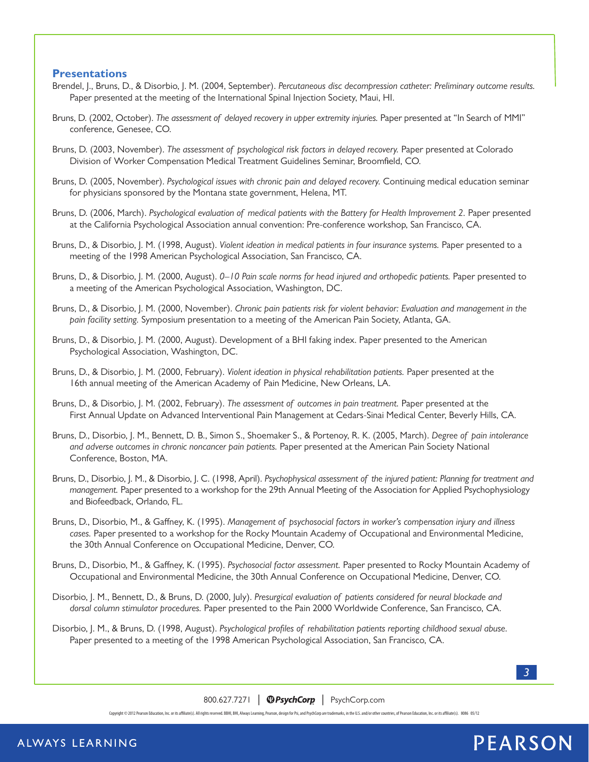#### **Presentations**

- Brendel, J., Bruns, D., & Disorbio, J. M. (2004, September). *Percutaneous disc decompression catheter: Preliminary outcome results.*  Paper presented at the meeting of the International Spinal Injection Society, Maui, HI.
- Bruns, D. (2002, October). *The assessment of delayed recovery in upper extremity injuries.* Paper presented at "In Search of MMI" conference, Genesee, CO.
- Bruns, D. (2003, November). *The assessment of psychological risk factors in delayed recovery.* Paper presented at Colorado Division of Worker Compensation Medical Treatment Guidelines Seminar, Broomfield, CO.
- Bruns, D. (2005, November). *Psychological issues with chronic pain and delayed recovery.* Continuing medical education seminar for physicians sponsored by the Montana state government, Helena, MT.
- Bruns, D. (2006, March). *Psychological evaluation of medical patients with the Battery for Health Improvement 2. Paper presented* at the California Psychological Association annual convention: Pre-conference workshop, San Francisco, CA.
- Bruns, D., & Disorbio, J. M. (1998, August). *Violent ideation in medical patients in four insurance systems.* Paper presented to a meeting of the 1998 American Psychological Association, San Francisco, CA.
- Bruns, D., & Disorbio, J. M. (2000, August). *0–10 Pain scale norms for head injured and orthopedic patients.* Paper presented to a meeting of the American Psychological Association, Washington, DC.
- Bruns, D., & Disorbio, J. M. (2000, November). *Chronic pain patients risk for violent behavior: Evaluation and management in the pain facility setting.* Symposium presentation to a meeting of the American Pain Society, Atlanta, GA.
- Bruns, D., & Disorbio, J. M. (2000, August). Development of a BHI faking index. Paper presented to the American Psychological Association, Washington, DC.
- Bruns, D., & Disorbio, J. M. (2000, February). *Violent ideation in physical rehabilitation patients.* Paper presented at the 16th annual meeting of the American Academy of Pain Medicine, New Orleans, LA.
- Bruns, D., & Disorbio, J. M. (2002, February). *The assessment of outcomes in pain treatment.* Paper presented at the First Annual Update on Advanced Interventional Pain Management at Cedars-Sinai Medical Center, Beverly Hills, CA.
- Bruns, D., Disorbio, J. M., Bennett, D. B., Simon S., Shoemaker S., & Portenoy, R. K. (2005, March). *Degree of pain intolerance and adverse outcomes in chronic noncancer pain patients.* Paper presented at the American Pain Society National Conference, Boston, MA.
- Bruns, D., Disorbio, J. M., & Disorbio, J. C. (1998, April). *Psychophysical assessment of the injured patient: Planning for treatment and management.* Paper presented to a workshop for the 29th Annual Meeting of the Association for Applied Psychophysiology and Biofeedback, Orlando, FL.
- Bruns, D., Disorbio, M., & Gaffney, K. (1995). *Management of psychosocial factors in worker's compensation injury and illness cases.* Paper presented to a workshop for the Rocky Mountain Academy of Occupational and Environmental Medicine, the 30th Annual Conference on Occupational Medicine, Denver, CO.
- Bruns, D., Disorbio, M., & Gaffney, K. (1995). *Psychosocial factor assessment.* Paper presented to Rocky Mountain Academy of Occupational and Environmental Medicine, the 30th Annual Conference on Occupational Medicine, Denver, CO.
- Disorbio, J. M., Bennett, D., & Bruns, D. (2000, July). *Presurgical evaluation of patients considered for neural blockade and dorsal column stimulator procedures.* Paper presented to the Pain 2000 Worldwide Conference, San Francisco, CA.
- Disorbio, J. M., & Bruns, D. (1998, August). *Psychological profiles of rehabilitation patients reporting childhood sexual abuse.*  Paper presented to a meeting of the 1998 American Psychological Association, San Francisco, CA.

*3*

800.627.7271 | **@PsychCorp** | PsychCorp.com

Copyright © 2012 Pearson Education, Inc. or its affiliate(s). All rights reserved. BBHI, BHI, Always Learning, Pearson, design for Psi, and PsychCorp are trademarks, in the U.S. and/or other countries, of Pearson Education

# **PEARSON**